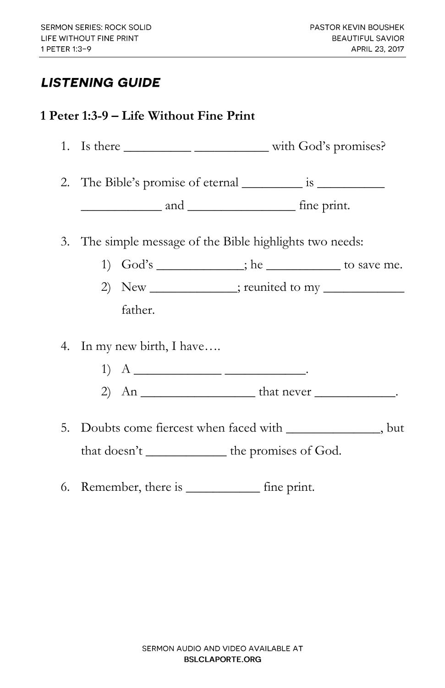## **LISTENING GUIDE**

## **1 Peter 1:3-9 – Life Without Fine Print**

| 3. The simple message of the Bible highlights two needs:                                                         |                                                   |  |
|------------------------------------------------------------------------------------------------------------------|---------------------------------------------------|--|
|                                                                                                                  | 1) God's __________; he _____________ to save me. |  |
|                                                                                                                  |                                                   |  |
| father.                                                                                                          |                                                   |  |
| 4. In my new birth, I have                                                                                       |                                                   |  |
|                                                                                                                  |                                                   |  |
| 5. Doubts come fiercest when faced with _______________, but<br>that doesn't ______________ the promises of God. |                                                   |  |
| 6. Remember, there is _____________ fine print.                                                                  |                                                   |  |